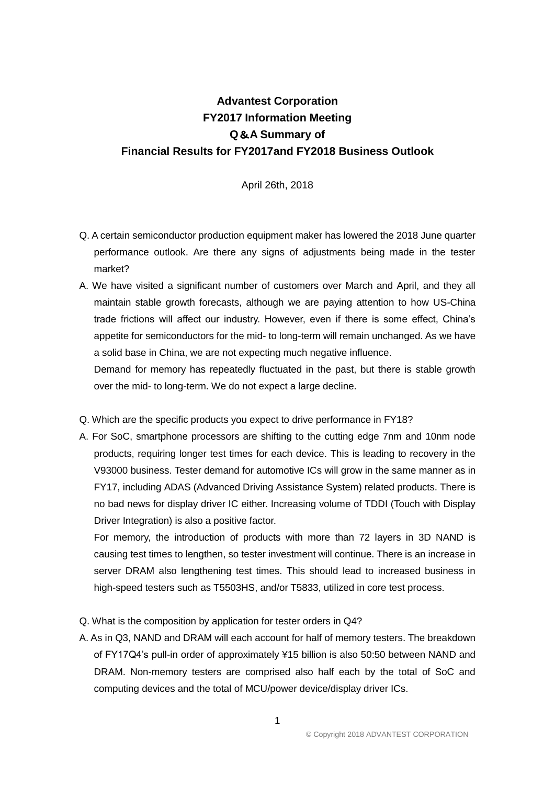## **Advantest Corporation FY2017 Information Meeting Q**&**A Summary of Financial Results for FY2017and FY2018 Business Outlook**

## April 26th, 2018

- Q. A certain semiconductor production equipment maker has lowered the 2018 June quarter performance outlook. Are there any signs of adjustments being made in the tester market?
- A. We have visited a significant number of customers over March and April, and they all maintain stable growth forecasts, although we are paying attention to how US-China trade frictions will affect our industry. However, even if there is some effect, China's appetite for semiconductors for the mid- to long-term will remain unchanged. As we have a solid base in China, we are not expecting much negative influence.

Demand for memory has repeatedly fluctuated in the past, but there is stable growth over the mid- to long-term. We do not expect a large decline.

- Q. Which are the specific products you expect to drive performance in FY18?
- A. For SoC, smartphone processors are shifting to the cutting edge 7nm and 10nm node products, requiring longer test times for each device. This is leading to recovery in the V93000 business. Tester demand for automotive ICs will grow in the same manner as in FY17, including ADAS (Advanced Driving Assistance System) related products. There is no bad news for display driver IC either. Increasing volume of TDDI (Touch with Display Driver Integration) is also a positive factor.

For memory, the introduction of products with more than 72 layers in 3D NAND is causing test times to lengthen, so tester investment will continue. There is an increase in server DRAM also lengthening test times. This should lead to increased business in high-speed testers such as T5503HS, and/or T5833, utilized in core test process.

- Q. What is the composition by application for tester orders in Q4?
- A. As in Q3, NAND and DRAM will each account for half of memory testers. The breakdown of FY17Q4's pull-in order of approximately ¥15 billion is also 50:50 between NAND and DRAM. Non-memory testers are comprised also half each by the total of SoC and computing devices and the total of MCU/power device/display driver ICs.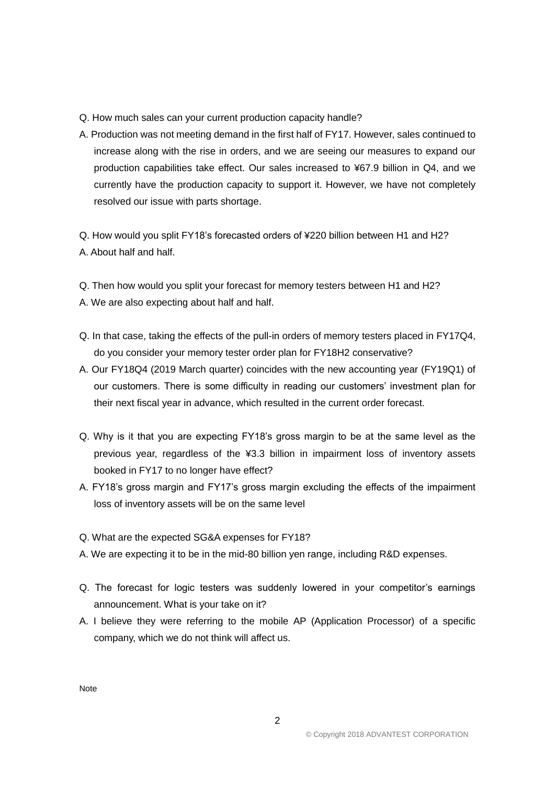- Q. How much sales can your current production capacity handle?
- A. Production was not meeting demand in the first half of FY17. However, sales continued to increase along with the rise in orders, and we are seeing our measures to expand our production capabilities take effect. Our sales increased to ¥67.9 billion in Q4, and we currently have the production capacity to support it. However, we have not completely resolved our issue with parts shortage.

Q. How would you split FY18's forecasted orders of ¥220 billion between H1 and H2? A. About half and half.

Q. Then how would you split your forecast for memory testers between H1 and H2?

- A. We are also expecting about half and half.
- Q. In that case, taking the effects of the pull-in orders of memory testers placed in FY17Q4, do you consider your memory tester order plan for FY18H2 conservative?
- A. Our FY18Q4 (2019 March quarter) coincides with the new accounting year (FY19Q1) of our customers. There is some difficulty in reading our customers' investment plan for their next fiscal year in advance, which resulted in the current order forecast.
- Q. Why is it that you are expecting FY18's gross margin to be at the same level as the previous year, regardless of the ¥3.3 billion in impairment loss of inventory assets booked in FY17 to no longer have effect?
- A. FY18's gross margin and FY17's gross margin excluding the effects of the impairment loss of inventory assets will be on the same level
- Q. What are the expected SG&A expenses for FY18?
- A. We are expecting it to be in the mid-80 billion yen range, including R&D expenses.
- Q. The forecast for logic testers was suddenly lowered in your competitor's earnings announcement. What is your take on it?
- A. I believe they were referring to the mobile AP (Application Processor) of a specific company, which we do not think will affect us.

Note